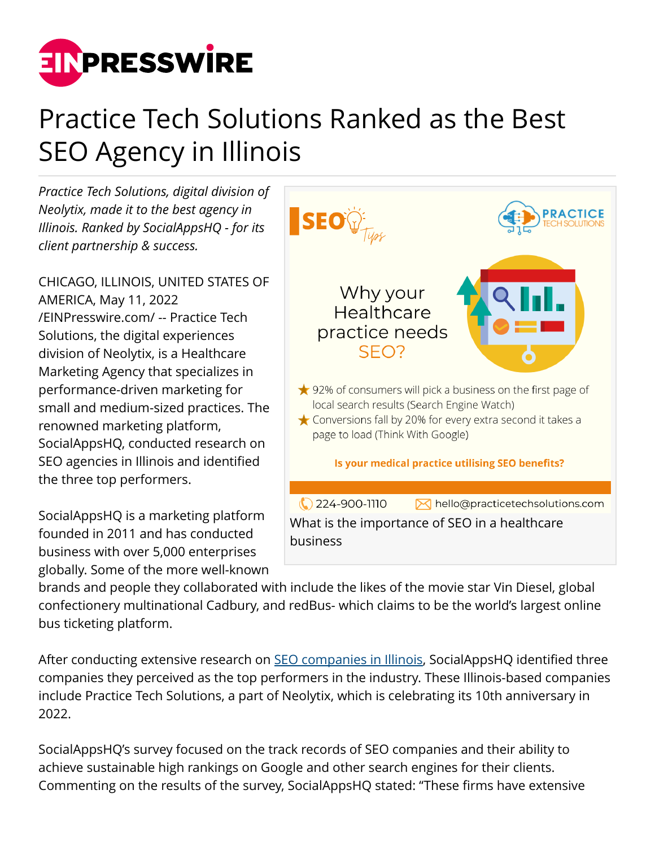

## Practice Tech Solutions Ranked as the Best SEO Agency in Illinois

*Practice Tech Solutions, digital division of Neolytix, made it to the best agency in Illinois. Ranked by SocialAppsHQ - for its client partnership & success.*

CHICAGO, ILLINOIS, UNITED STATES OF AMERICA, May 11, 2022 [/EINPresswire.com/](http://www.einpresswire.com) -- Practice Tech Solutions, the digital experiences division of Neolytix, is a Healthcare Marketing Agency that specializes in performance-driven marketing for small and medium-sized practices. The renowned marketing platform, SocialAppsHQ, conducted research on SEO agencies in Illinois and identified the three top performers.

SocialAppsHQ is a marketing platform founded in 2011 and has conducted business with over 5,000 enterprises globally. Some of the more well-known



brands and people they collaborated with include the likes of the movie star Vin Diesel, global confectionery multinational Cadbury, and redBus- which claims to be the world's largest online bus ticketing platform.

After conducting extensive research on **SEO** companies in Illinois, SocialAppsHQ identified three companies they perceived as the top performers in the industry. These Illinois-based companies include Practice Tech Solutions, a part of Neolytix, which is celebrating its 10th anniversary in 2022.

SocialAppsHQ's survey focused on the track records of SEO companies and their ability to achieve sustainable high rankings on Google and other search engines for their clients. Commenting on the results of the survey, SocialAppsHQ stated: "These firms have extensive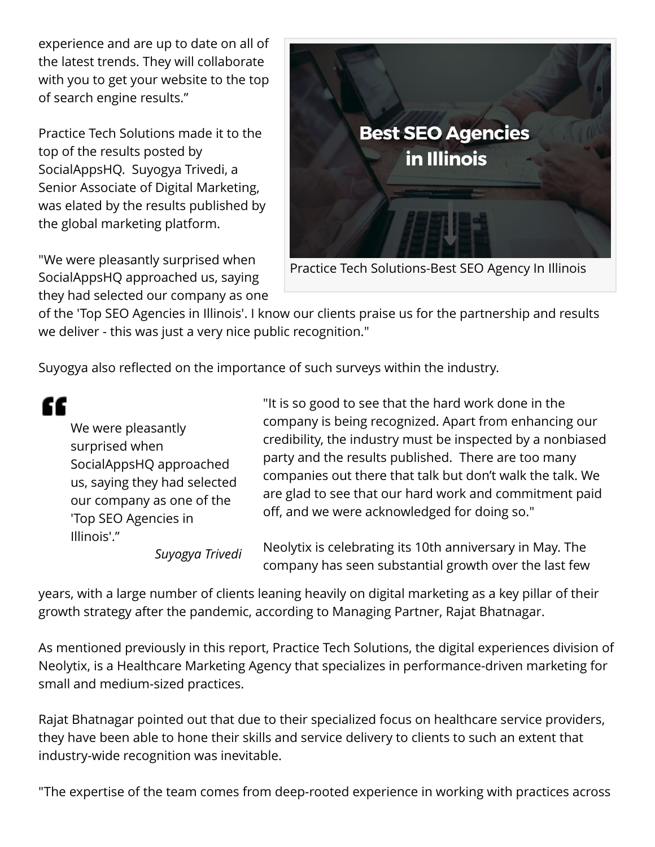experience and are up to date on all of the latest trends. They will collaborate with you to get your website to the top of search engine results."

Practice Tech Solutions made it to the top of the results posted by SocialAppsHQ. Suyogya Trivedi, a Senior Associate of Digital Marketing, was elated by the results published by the global marketing platform.

"We were pleasantly surprised when SocialAppsHQ approached us, saying they had selected our company as one



of the 'Top SEO Agencies in Illinois'. I know our clients praise us for the partnership and results we deliver - this was just a very nice public recognition."

Suyogya also reflected on the importance of such surveys within the industry.

W

We were pleasantly surprised when SocialAppsHQ approached us, saying they had selected our company as one of the 'Top SEO Agencies in Illinois'."

"It is so good to see that the hard work done in the company is being recognized. Apart from enhancing our credibility, the industry must be inspected by a nonbiased party and the results published. There are too many companies out there that talk but don't walk the talk. We are glad to see that our hard work and commitment paid off, and we were acknowledged for doing so."

*Suyogya Trivedi*

Neolytix is celebrating its 10th anniversary in May. The company has seen substantial growth over the last few

years, with a large number of clients leaning heavily on digital marketing as a key pillar of their growth strategy after the pandemic, according to Managing Partner, Rajat Bhatnagar.

As mentioned previously in this report, Practice Tech Solutions, the digital experiences division of Neolytix, is a Healthcare Marketing Agency that specializes in performance-driven marketing for small and medium-sized practices.

Rajat Bhatnagar pointed out that due to their specialized focus on healthcare service providers, they have been able to hone their skills and service delivery to clients to such an extent that industry-wide recognition was inevitable.

"The expertise of the team comes from deep-rooted experience in working with practices across